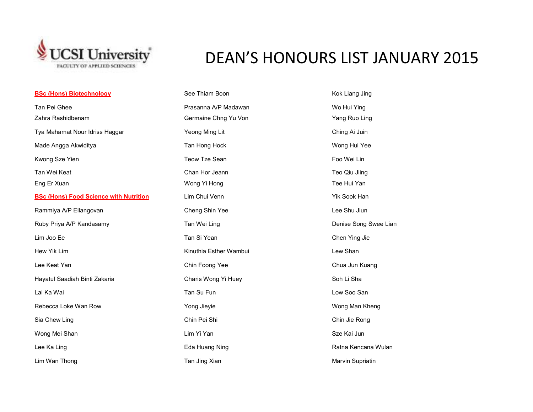

## DEAN'S HONOURS LIST JANUARY 2015

| <b>BSc (Hons) Biotechnology</b>               | See Thiam Boon         | Kok Liang Jing        |
|-----------------------------------------------|------------------------|-----------------------|
| Tan Pei Ghee                                  | Prasanna A/P Madawan   | Wo Hui Ying           |
| Zahra Rashidbenam                             | Germaine Chng Yu Von   | Yang Ruo Ling         |
| Tya Mahamat Nour Idriss Haggar                | Yeong Ming Lit         | Ching Ai Juin         |
| Made Angga Akwiditya                          | Tan Hong Hock          | Wong Hui Yee          |
| Kwong Sze Yien                                | Teow Tze Sean          | Foo Wei Lin           |
| Tan Wei Keat                                  | Chan Hor Jeann         | Teo Qiu Jiing         |
| Eng Er Xuan                                   | Wong Yi Hong           | Tee Hui Yan           |
| <b>BSc (Hons) Food Science with Nutrition</b> | Lim Chui Venn          | Yik Sook Han          |
| Rammiya A/P Ellangovan                        | Cheng Shin Yee         | Lee Shu Jiun          |
| Ruby Priya A/P Kandasamy                      | Tan Wei Ling           | Denise Song Swee Lian |
| Lim Joo Ee                                    | Tan Si Yean            | Chen Ying Jie         |
| Hew Yik Lim                                   | Kinuthia Esther Wambui | Lew Shan              |
| Lee Keat Yan                                  | Chin Foong Yee         | Chua Jun Kuang        |
| Hayatul Saadiah Binti Zakaria                 | Charis Wong Yi Huey    | Soh Li Sha            |
| Lai Ka Wai                                    | Tan Su Fun             | Low Soo San           |
| Rebecca Loke Wan Row                          | Yong Jieyie            | Wong Man Kheng        |
| Sia Chew Ling                                 | Chin Pei Shi           | Chin Jie Rong         |
| Wong Mei Shan                                 | Lim Yi Yan             | Sze Kai Jun           |
| Lee Ka Ling                                   | Eda Huang Ning         | Ratna Kencana Wulan   |
| Lim Wan Thong                                 | Tan Jing Xian          | Marvin Supriatin      |